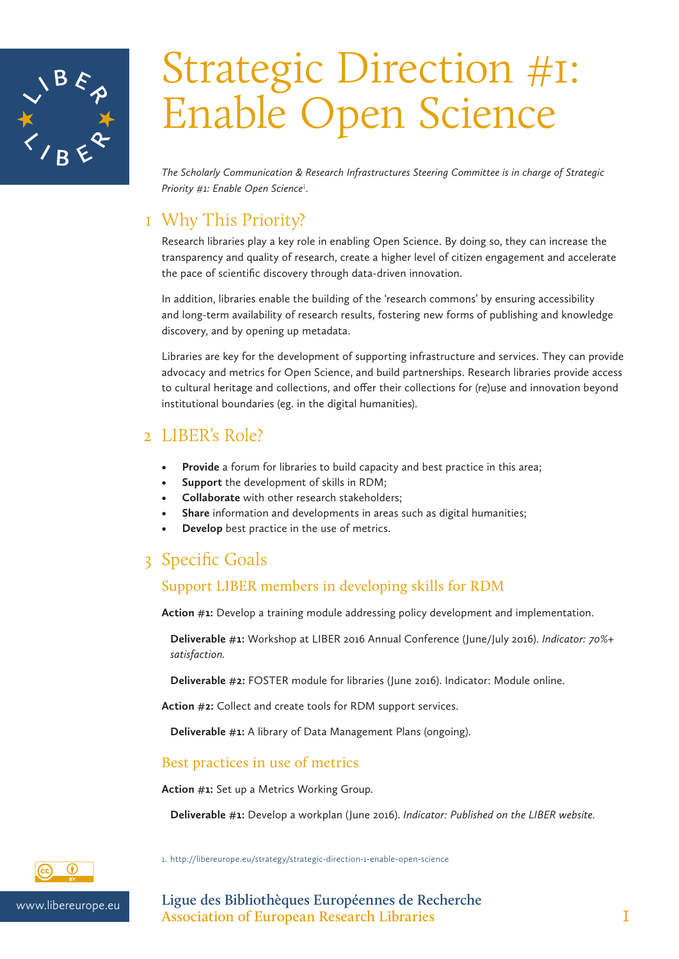

# Strategic Direction #1: Enable Open Science

*The Scholarly Communication & Research Infrastructures Steering Committee is in charge of Strategic*  Priority #1: Enable Open Science<sup>1</sup>.

## 1 Why This Priority?

Research libraries play a key role in enabling Open Science. By doing so, they can increase the transparency and quality of research, create a higher level of citizen engagement and accelerate the pace of scientific discovery through data-driven innovation.

In addition, libraries enable the building of the 'research commons' by ensuring accessibility and long-term availability of research results, fostering new forms of publishing and knowledge discovery, and by opening up metadata.

Libraries are key for the development of supporting infrastructure and services. They can provide advocacy and metrics for Open Science, and build partnerships. Research libraries provide access to cultural heritage and collections, and offer their collections for (re)use and innovation beyond institutional boundaries (eg. in the digital humanities).

## 2 LIBER's Role?

- **• Provide** a forum for libraries to build capacity and best practice in this area;
- **• Support** the development of skills in RDM;
- **• Collaborate** with other research stakeholders;
- **• Share** information and developments in areas such as digital humanities;
- **• Develop** best practice in the use of metrics.

# 3 Specific Goals

### Support LIBER members in developing skills for RDM

**Action #1:** Develop a training module addressing policy development and implementation.

**Deliverable #1:** Workshop at LIBER 2016 Annual Conference (June/July 2016). *Indicator: 70%+ satisfaction.*

**Deliverable #2:** FOSTER module for libraries (June 2016). Indicator: Module online.

**Action #2:** Collect and create tools for RDM support services.

**Deliverable #1:** A library of Data Management Plans (ongoing).

### Best practices in use of metrics

**Action #1:** Set up a Metrics Working Group.

**Deliverable #1:** Develop a workplan (June 2016). *Indicator: Published on the LIBER website.*



1. http://libereurope.eu/strategy/strategic-direction-1-enable-open-science

www.libereurope.eu **Ligue des Bibliothèques Européennes de Recherche Association of European Research Libraries** 1